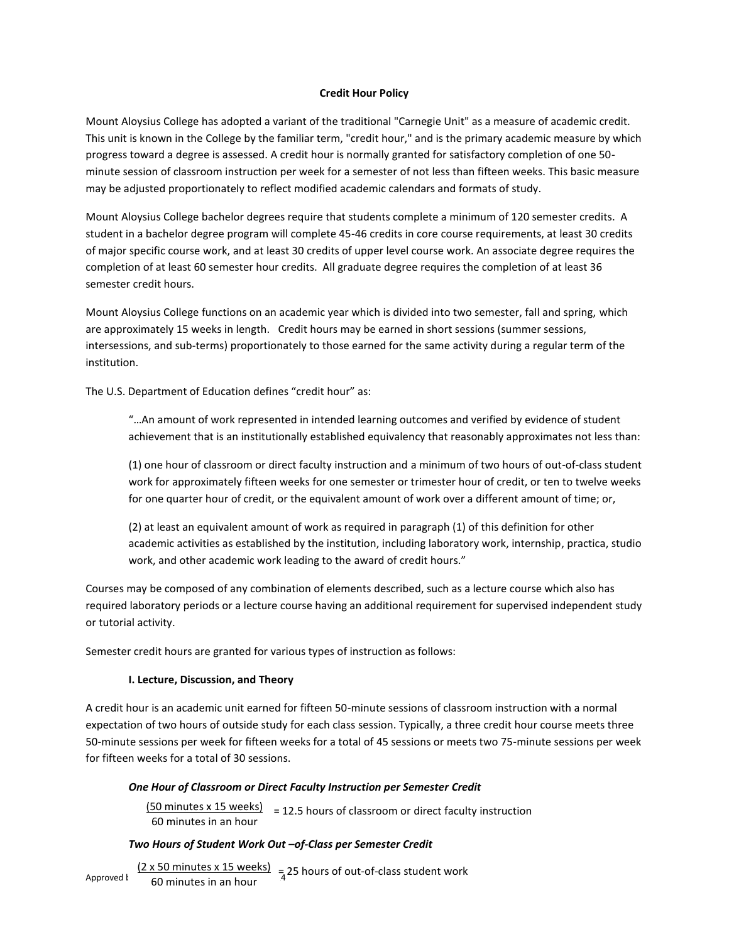## **Credit Hour Policy**

Mount Aloysius College has adopted a variant of the traditional "Carnegie Unit" as a measure of academic credit. This unit is known in the College by the familiar term, "credit hour," and is the primary academic measure by which progress toward a degree is assessed. A credit hour is normally granted for satisfactory completion of one 50 minute session of classroom instruction per week for a semester of not less than fifteen weeks. This basic measure may be adjusted proportionately to reflect modified academic calendars and formats of study.

Mount Aloysius College bachelor degrees require that students complete a minimum of 120 semester credits. A student in a bachelor degree program will complete 45-46 credits in core course requirements, at least 30 credits of major specific course work, and at least 30 credits of upper level course work. An associate degree requires the completion of at least 60 semester hour credits. All graduate degree requires the completion of at least 36 semester credit hours.

Mount Aloysius College functions on an academic year which is divided into two semester, fall and spring, which are approximately 15 weeks in length. Credit hours may be earned in short sessions (summer sessions, intersessions, and sub-terms) proportionately to those earned for the same activity during a regular term of the institution.

The U.S. Department of Education defines "credit hour" as:

"…An amount of work represented in intended learning outcomes and verified by evidence of student achievement that is an institutionally established equivalency that reasonably approximates not less than:

(1) one hour of classroom or direct faculty instruction and a minimum of two hours of out-of-class student work for approximately fifteen weeks for one semester or trimester hour of credit, or ten to twelve weeks for one quarter hour of credit, or the equivalent amount of work over a different amount of time; or,

(2) at least an equivalent amount of work as required in paragraph (1) of this definition for other academic activities as established by the institution, including laboratory work, internship, practica, studio work, and other academic work leading to the award of credit hours."

Courses may be composed of any combination of elements described, such as a lecture course which also has required laboratory periods or a lecture course having an additional requirement for supervised independent study or tutorial activity.

Semester credit hours are granted for various types of instruction as follows:

## **I. Lecture, Discussion, and Theory**

A credit hour is an academic unit earned for fifteen 50-minute sessions of classroom instruction with a normal expectation of two hours of outside study for each class session. Typically, a three credit hour course meets three 50-minute sessions per week for fifteen weeks for a total of 45 sessions or meets two 75-minute sessions per week for fifteen weeks for a total of 30 sessions.

#### *One Hour of Classroom or Direct Faculty Instruction per Semester Credit*

 $(50$  minutes x 15 weeks) = 12.5 hours of classroom or direct faculty instruction 60 minutes in an hour

#### *Two Hours of Student Work Out –of-Class per Semester Credit*

Approved by  $\frac{(2 \times 50 \text{ minutes} \times 15 \text{ weeks})}{60 \text{ minutes in an hour}}$ 60 minutes in an hour  $=$  25 hours of out-of-class student work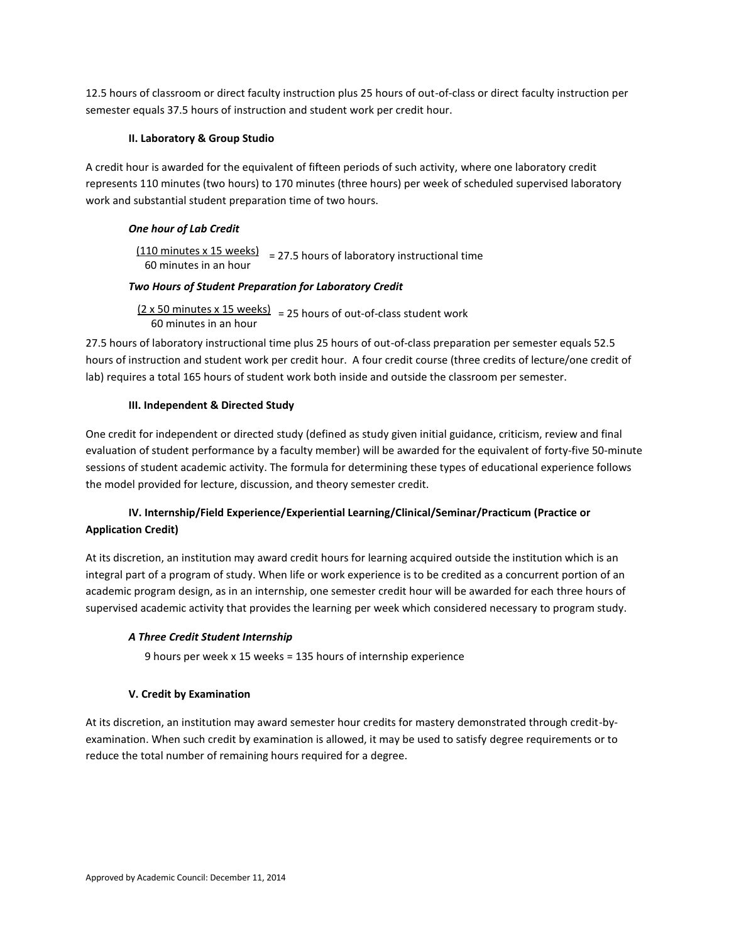12.5 hours of classroom or direct faculty instruction plus 25 hours of out-of-class or direct faculty instruction per semester equals 37.5 hours of instruction and student work per credit hour.

## **II. Laboratory & Group Studio**

A credit hour is awarded for the equivalent of fifteen periods of such activity, where one laboratory credit represents 110 minutes (two hours) to 170 minutes (three hours) per week of scheduled supervised laboratory work and substantial student preparation time of two hours.

# *One hour of Lab Credit*

 $\frac{(110 \text{ minutes} \times 15 \text{ weeks})}{27.5 \text{ hours}}$  = 27.5 hours of laboratory instructional time 60 minutes in an hour

# *Two Hours of Student Preparation for Laboratory Credit*

 $(2 \times 50 \text{ minutes} \times 15 \text{ weeks})$  = 25 hours of out-of-class student work 60 minutes in an hour

27.5 hours of laboratory instructional time plus 25 hours of out-of-class preparation per semester equals 52.5 hours of instruction and student work per credit hour. A four credit course (three credits of lecture/one credit of lab) requires a total 165 hours of student work both inside and outside the classroom per semester.

## **III. Independent & Directed Study**

One credit for independent or directed study (defined as study given initial guidance, criticism, review and final evaluation of student performance by a faculty member) will be awarded for the equivalent of forty-five 50-minute sessions of student academic activity. The formula for determining these types of educational experience follows the model provided for lecture, discussion, and theory semester credit.

# **IV. Internship/Field Experience/Experiential Learning/Clinical/Seminar/Practicum (Practice or Application Credit)**

At its discretion, an institution may award credit hours for learning acquired outside the institution which is an integral part of a program of study. When life or work experience is to be credited as a concurrent portion of an academic program design, as in an internship, one semester credit hour will be awarded for each three hours of supervised academic activity that provides the learning per week which considered necessary to program study.

# *A Three Credit Student Internship*

9 hours per week x 15 weeks = 135 hours of internship experience

# **V. Credit by Examination**

At its discretion, an institution may award semester hour credits for mastery demonstrated through credit-byexamination. When such credit by examination is allowed, it may be used to satisfy degree requirements or to reduce the total number of remaining hours required for a degree.